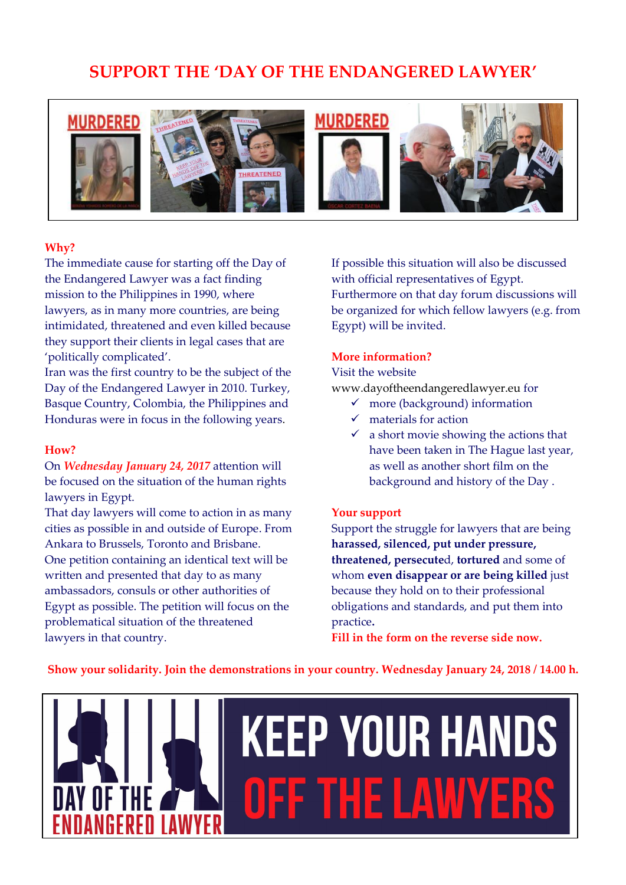## **SUPPORT THE 'DAY OF THE ENDANGERED LAWYER'**



### **Why?**

The immediate cause for starting off the Day of the Endangered Lawyer was a fact finding mission to the Philippines in 1990, where lawyers, as in many more countries, are being intimidated, threatened and even killed because they support their clients in legal cases that are 'politically complicated'.

Iran was the first country to be the subject of the Day of the Endangered Lawyer in 2010. Turkey, Basque Country, Colombia, the Philippines and Honduras were in focus in the following years.

#### **How?**

On *Wednesday January 24, 2017* attention will be focused on the situation of the human rights lawyers in Egypt.

That day lawyers will come to action in as many cities as possible in and outside of Europe. From Ankara to Brussels, Toronto and Brisbane. One petition containing an identical text will be written and presented that day to as many ambassadors, consuls or other authorities of Egypt as possible. The petition will focus on the problematical situation of the threatened lawyers in that country.

If possible this situation will also be discussed with official representatives of Egypt. Furthermore on that day forum discussions will be organized for which fellow lawyers (e.g. from Egypt) will be invited.

### **More information?**

Visit the website www.dayoftheendangeredlawyer.eu for

- $\checkmark$  more (background) information
- $\checkmark$  materials for action
- $\checkmark$  a short movie showing the actions that have been taken in The Hague last year, as well as another short film on the background and history of the Day .

#### **Your support**

Support the struggle for lawyers that are being **harassed, silenced, put under pressure, threatened, persecute**d, **tortured** and some of whom **even disappear or are being killed** just because they hold on to their professional obligations and standards, and put them into practice**.**

**Fill in the form on the reverse side now.**

**Show your solidarity. Join the demonstrations in your country. Wednesday January 24, 2018 / 14.00 h.**